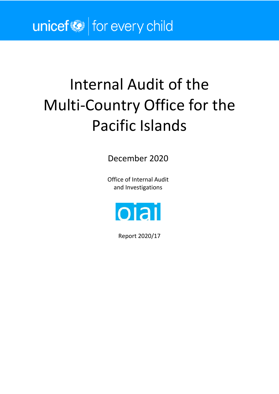# Internal Audit of the Multi-Country Office for the Pacific Islands

December 2020

Office of Internal Audit and Investigations



Report 2020/17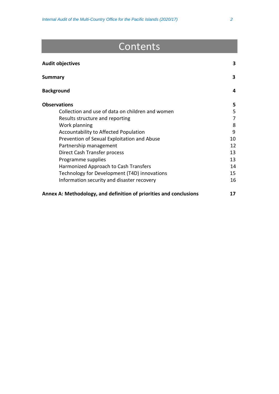# Contents

| <b>Audit objectives</b>                                            | 3  |
|--------------------------------------------------------------------|----|
| <b>Summary</b>                                                     | 3  |
| <b>Background</b>                                                  | 4  |
| <b>Observations</b>                                                | 5. |
| Collection and use of data on children and women                   | 5  |
| Results structure and reporting                                    | 7  |
| Work planning                                                      | 8  |
| Accountability to Affected Population                              | 9  |
| Prevention of Sexual Exploitation and Abuse                        | 10 |
| Partnership management                                             | 12 |
| Direct Cash Transfer process                                       | 13 |
| Programme supplies                                                 | 13 |
| Harmonized Approach to Cash Transfers                              | 14 |
| Technology for Development (T4D) innovations                       | 15 |
| Information security and disaster recovery                         | 16 |
| Annex A: Methodology, and definition of priorities and conclusions | 17 |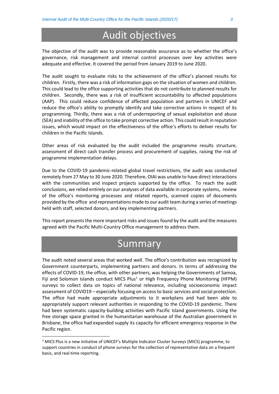## Audit objectives

The objective of the audit was to provide reasonable assurance as to whether the office's governance, risk management and internal control processes over key activities were adequate and effective. It covered the period from January 2019 to June 2020.

The audit sought to evaluate risks to the achievement of the office's planned results for children. Firstly, there was a risk of information gaps on the situation of women and children. This could lead to the office supporting activities that do not contribute to planned results for children. Secondly, there was a risk of insufficient accountability to affected populations (AAP). This could reduce confidence of affected population and partners in UNICEF and reduce the office's ability to promptly identify and take corrective actions in respect of its programming. Thirdly, there was a risk of underreporting of sexual exploitation and abuse (SEA) and inability of the office to take prompt corrective action. This could result in reputation issues, which would impact on the effectiveness of the office's efforts to deliver results for children in the Pacific Islands.

Other areas of risk evaluated by the audit included the programme results structure, assessment of direct cash transfer process and procurement of supplies, raising the risk of programme implementation delays.

Due to the COVID-19 pandemic-related global travel restrictions, the audit was conducted remotely from 27 May to 30 June 2020. Therefore, OIAI was unable to have direct interactions with the communities and inspect projects supported by the office. To reach the audit conclusions, we relied entirely on our analyses of data available in corporate systems, review of the office's monitoring processes and related reports, scanned copies of documents provided by the office and representations made to our audit team during a series of meetings held with staff, selected donors, and key implementing partners.

This report presents the more important risks and issues found by the audit and the measures agreed with the Pacific Multi-Country Office management to address them.

### Summary

The audit noted several areas that worked well. The office's contribution was recognized by Government counterparts, implementing partners and donors. In terms of addressing the effects of COVID-19, the office, with other partners, was helping the Governments of Samoa, Fiji and Solomon Islands conduct MICS Plus<sup>[1](#page-2-0)</sup> or High Frequency Phone Monitoring (HFPM) surveys to collect data on topics of national relevance, including socioeconomic impact assessment of COVID19 – especially focusing on access to basic services and social protection. The office had made appropriate adjustments to it workplans and had been able to appropriately support relevant authorities in responding to the COVID-19 pandemic. There had been systematic capacity-building activities with Pacific Island governments. Using the free storage space granted in the humanitarian warehouse of the Australian government in Brisbane, the office had expanded supply its capacity for efficient emergency response in the Pacific region.

<span id="page-2-0"></span><sup>&</sup>lt;sup>1</sup> MICS Plus is a new initiative of UNICEF's Multiple Indicator Cluster Surveys (MICS) programme, to support countries in conduct of phone surveys for the collection of representative data on a frequent basis, and real-time reporting.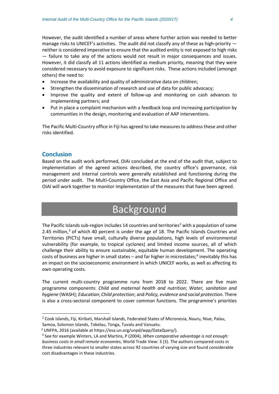However, the audit identified a number of areas where further action was needed to better manage risks to UNICEF's activities. The audit did not classify any of these as high-priority neither is considered imperative to ensure that the audited entity is not exposed to high risks — failure to take any of the actions would not result in major consequences and issues. However, it did classify all 11 actions identified as medium priority, meaning that they were considered necessary to avoid exposure to significant risks. These actions included (amongst others) the need to:

- Increase the availability and quality of administrative data on children;
- Strengthen the dissemination of research and use of data for public advocacy;
- Improve the quality and extent of follow-up and monitoring on cash advances to implementing partners; and
- Put in place a complaint mechanism with a feedback loop and increasing participation by communities in the design, monitoring and evaluation of AAP interventions.

The Pacific Multi-Country office in Fiji has agreed to take measures to address these and other risks identified.

#### **Conclusion**

Based on the audit work performed, OIAI concluded at the end of the audit that, subject to implementation of the agreed actions described, the country office's governance, risk management and internal controls were generally established and functioning during the period under audit. The Multi-Country Office, the East Asia and Pacific Regional Office and OIAI will work together to monitor implementation of the measures that have been agreed.

# **Background**

The Pacific Islands sub-region includes 14 countries and territories<sup>2</sup> with a population of some 2.45 million, $3$  of which 40 percent is under the age of 18. The Pacific Islands Countries and Territories (PICTs) have small, culturally diverse populations, high levels of environmental vulnerability (for example, to tropical cyclones) and limited income sources, all of which challenge their ability to ensure sustainable, equitable human development. The operating costs of business are higher in small states – and far higher in microstates; [4](#page-3-2) inevitably this has an impact on the socioeconomic environment in which UNICEF works, as well as affecting its own operating costs.

The current multi-country programme runs from 2018 to 2022. There are five main programme components: *Child and maternal health and nutrition*; *Water, sanitation and hygiene* (WASH); *Education*; *Child protection*; and *Policy, evidence and social protection*. There is also a cross-sectoral component to cover common functions. The programme's priorities

<span id="page-3-0"></span><sup>2</sup> Cook Islands, Fiji, Kiribati, Marshall Islands, Federated States of Micronesia, Nauru, Niue, Palau, Samoa, Solomon Islands, Tokelau, Tonga, Tuvalu and Vanuatu.

<span id="page-3-2"></span><span id="page-3-1"></span><sup>3</sup> UNFPA, 2016 (available at https://esa.un.org/unpd/wpp/DataQuery/).

<sup>4</sup> See for example Winters, LA and Martins, P (2004), *When comparative advantage is not enough: business costs in small remote economies*, World Trade View: 3 (3). The authors compared costs in three industries relevant to smaller states across 92 countries of varying size and found considerable cost disadvantages in these industries.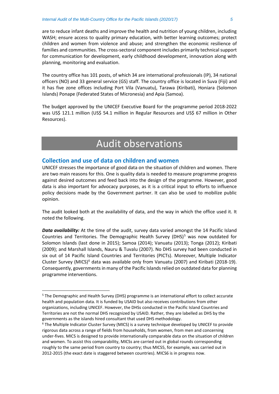are to reduce infant deaths and improve the health and nutrition of young children, including WASH; ensure access to quality primary education, with better learning outcomes; protect children and women from violence and abuse; and strengthen the economic resilience of families and communities. The cross-sectoral component includes primarily technical support for communication for development, early childhood development, innovation along with planning, monitoring and evaluation.

The country office has 101 posts, of which 34 are international professionals (IP), 34 national officers (NO) and 33 general service (GS) staff. The country office is located in Suva (Fiji) and it has five zone offices including Port Vila (Vanuatu), Tarawa (Kiribati), Honiara (Solomon Islands) Ponape (Federated States of Micronesia) and Apia (Samoa).

The budget approved by the UNICEF Executive Board for the programme period 2018-2022 was US\$ 121.1 million (US\$ 54.1 million in Regular Resources and US\$ 67 million in Other Resources).

# Audit observations

#### **Collection and use of data on children and women**

UNICEF stresses the importance of good data on the situation of children and women. There are two main reasons for this. One is quality data is needed to measure programme progress against desired outcomes and feed back into the design of the programme. However, good data is also important for advocacy purposes, as it is a critical input to efforts to influence policy decisions made by the Government partner. It can also be used to mobilize public opinion.

The audit looked both at the availability of data, and the way in which the office used it. It noted the following.

**Data availability:** At the time of the audit, survey data varied amongst the 14 Pacific Island Countries and Territories. The Demographic Health Survey (DHS) $<sup>5</sup>$  $<sup>5</sup>$  $<sup>5</sup>$  was now outdated for</sup> Solomon Islands (last done in 2015); Samoa (2014); Vanuatu (2013); Tonga (2012); Kiribati (2009); and Marshall Islands, Nauru & Tuvalu (2007). No DHS survey had been conducted in six out of 14 Pacific Island Countries and Territories (PICTs). Moreover, Multiple Indicator Cluster Survey (MICS)<sup>[6](#page-4-1)</sup> data was available only from Vanuatu (2007) and Kiribati (2018-19). Consequently, governments in many of the Pacific Islands relied on outdated data for planning programme interventions.

<span id="page-4-0"></span><sup>5</sup> The Demographic and Health Survey (DHS) programme is an international effort to collect accurate health and population data. It is funded by USAID but also receives contributions from other organizations, including UNICEF. However, the DHSs conducted in the Pacific Island Countries and Territories are not the normal DHS recognized by USAID. Rather, they are labelled as DHS by the governments as the islands hired consultant that used DHS methodology.

<span id="page-4-1"></span><sup>6</sup> The Multiple Indicator Cluster Survey (MICS) is a survey technique developed by UNICEF to provide rigorous data across a range of fields from households, from women, from men and concerning under-fives. MICS is designed to provide internationally comparable data on the situation of children and women. To assist this comparability, MICSs are carried out in global rounds corresponding roughly to the same period from country to country; thus MICS5, for example, was carried out in 2012-2015 (the exact date is staggered between countries). MICS6 is in progress now.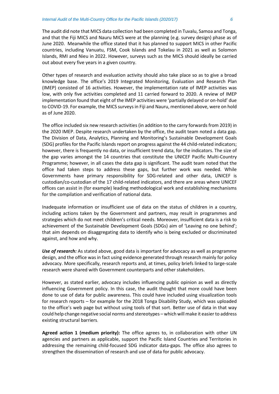The audit did note that MICS data collection had been completed in Tuvalu, Samoa and Tonga, and that the Fiji MICS and Nauru MICS were at the planning (e.g. survey design) phase as of June 2020. Meanwhile the office stated that it has planned to support MICS in other Pacific countries, including Vanuatu, FSM, Cook Islands and Tokelau in 2021 as well as Solomon Islands, RMI and Nieu in 2022. However, surveys such as the MICS should ideally be carried out about every five years in a given country.

Other types of research and evaluation activity should also take place so as to give a broad knowledge base. The office's 2019 Integrated Monitoring, Evaluation and Research Plan (IMEP) consisted of 16 activities. However, the implementation rate of IMEP activities was low, with only five activities completed and 11 carried forward to 2020. A review of IMEP implementation found that eight of the IMEP activities were 'partially delayed or on-hold' due to COVID-19. For example, the MICS surveysin Fiji and Nauru, mentioned above, were on hold as of June 2020.

The office included six new research activities (in addition to the carry forwards from 2019) in the 2020 IMEP. Despite research undertaken by the office, the audit team noted a data gap. The Division of Data, Analytics, Planning and Monitoring's Sustainable Development Goals (SDG) profiles for the Pacific Islands report on progress against the 44 child-related indicators; however, there is frequently no data, or insufficient trend data, for the indicators. The size of the gap varies amongst the 14 countries that constitute the UNICEF Pacific Multi-Country Programme; however, in all cases the data gap is significant. The audit team noted that the office had taken steps to address these gaps, but further work was needed. While Governments have primary responsibility for SDG-related and other data, UNICEF is custodian/co-custodian of the 17 child-related indicators, and there are areas where UNICEF offices can assist in (for example) leading methodological work and establishing mechanisms for the compilation and verification of national data.

Inadequate information or insufficient use of data on the status of children in a country, including actions taken by the Government and partners, may result in programmes and strategies which do not meet children's critical needs. Moreover, insufficient data is a risk to achievement of the Sustainable Development Goals (SDGs) aim of 'Leaving no one behind'; that aim depends on disaggregating data to identify who is being excluded or discriminated against, and how and why.

*Use of research:* As stated above, good data is important for advocacy as well as programme design, and the office was in fact using evidence generated through research mainly for policy advocacy. More specifically, research reports and, at times, policy briefs linked to large-scale research were shared with Government counterparts and other stakeholders.

However, as stated earlier, advocacy includes influencing public opinion as well as directly influencing Government policy. In this case, the audit thought that more could have been done to use of data for public awareness. This could have included using visualization tools for research reports – for example for the 2018 Tonga Disability Study, which was uploaded to the office's web page but without using tools of that sort. Better use of data in that way could help change negative social norms and stereotypes – which will make it easier to address existing structural barriers.

**Agreed action 1 (medium priority):** The office agrees to, in collaboration with other UN agencies and partners as applicable, support the Pacific Island Countries and Territories in addressing the remaining child-focused SDG indicator data-gaps. The office also agrees to strengthen the dissemination of research and use of data for public advocacy.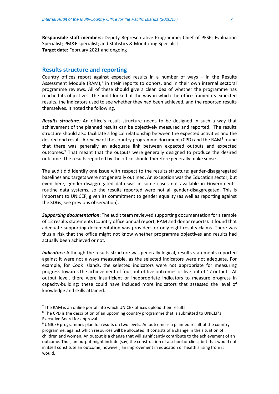**Responsible staff members:** Deputy Representative Programme; Chief of PESP; Evaluation Specialist; PM&E specialist; and Statistics & Monitoring Specialist. **Target date:** February 2021 and ongoing

#### **Results structure and reporting**

Country offices report against expected results in a number of ways – in the Results Assessment Module (RAM), $<sup>7</sup>$  $<sup>7</sup>$  $<sup>7</sup>$  in their reports to donors, and in their own internal sectoral</sup> programme reviews. All of these should give a clear idea of whether the programme has reached its objectives. The audit looked at the way in which the office framed its expected results, the indicators used to see whether they had been achieved, and the reported results themselves. It noted the following.

*Results structure:* An office's result structure needs to be designed in such a way that achievement of the planned results can be objectively measured and reported. The results structure should also facilitate a logical relationship between the expected activities and the desired end result. A review of the country programme document (CPD) and the RAM<sup>[8](#page-6-1)</sup> found that there was generally an adequate link between expected outputs and expected outcomes. [9](#page-6-2) That meant that the outputs were generally designed to produce the desired outcome. The results reported by the office should therefore generally make sense.

The audit did identify one issue with respect to the results structure: gender-disaggregated baselines and targets were not generally outlined. An exception was the Education sector, but even here, gender-disaggregated data was in some cases not available in Governments' routine data systems, so the results reported were not all gender-disaggregated. This is important to UNICEF, given its commitment to gender equality (as well as reporting against the SDGs; see previous observation).

*Supporting documentation***:** The audit team reviewed supporting documentation for a sample of 12 results statements (country office annual report, RAM and donor reports). It found that adequate supporting documentation was provided for only eight results claims. There was thus a risk that the office might not know whether programme objectives and results had actually been achieved or not.

*Indicators:* Although the results structure was generally logical, results statements reported against it were not always measurable, as the selected indicators were not adequate. For example, for Cook Islands, the selected indicators were not appropriate for measuring progress towards the achievement of four out of five outcomes or five out of 17 outputs. At output level, there were insufficient or inappropriate indicators to measure progress in capacity-building; these could have included more indicators that assessed the level of knowledge and skills attained.

<span id="page-6-0"></span> $7$  The RAM is an online portal into which UNICEF offices upload their results.

<span id="page-6-1"></span><sup>8</sup> The CPD is the description of an upcoming country programme that is submitted to UNICEF's Executive Board for approval.

<span id="page-6-2"></span><sup>&</sup>lt;sup>9</sup> UNICEF programmes plan for results on two levels. An outcome is a planned result of the country programme, against which resources will be allocated. It consists of a change in the situation of children and women. An output is a change that will significantly contribute to the achievement of an outcome. Thus, an output might include (say) the construction of a school or clinic, but that would not in itself constitute an outcome; however, an improvement in education or health arising from it would.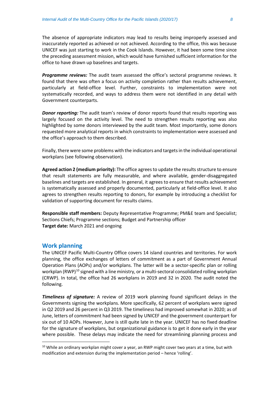The absence of appropriate indicators may lead to results being improperly assessed and inaccurately reported as achieved or not achieved. According to the office, this was because UNICEF was just starting to work in the Cook Islands. However, it had been some time since the preceding assessment mission, which would have furnished sufficient information for the office to have drawn up baselines and targets.

*Programme reviews:* The audit team assessed the office's sectoral programme reviews. It found that there was often a focus on activity completion rather than results achievement, particularly at field-office level. Further, constraints to implementation were not systematically recorded, and ways to address them were not identified in any detail with Government counterparts.

*Donor reporting:* The audit team's review of donor reports found that results reporting was largely focused on the activity level. The need to strengthen results reporting was also highlighted by some donors interviewed by the audit team. Most importantly, some donors requested more analytical reports in which constraints to implementation were assessed and the office's approach to them described.

Finally, there were some problems with the indicators and targets in the individual operational workplans (see following observation).

Agreed action 2 (medium priority): The office agrees to update the results structure to ensure that result statements are fully measurable, and where available, gender-disaggregated baselines and targets are established. In general, it agrees to ensure that results achievement is systematically assessed and properly documented, particularly at field-office level. It also agrees to strengthen results reporting to donors, for example by introducing a checklist for validation of supporting document for results claims.

**Responsible staff members:** Deputy Representative Programme; PM&E team and Specialist; Sections Chiefs; Programme sections; Budget and Partnership officer **Target date:** March 2021 and ongoing

#### **Work planning**

The UNICEF Pacific Multi-Country Office covers 14 island countries and territories. For work planning, the office exchanges of letters of commitment as a part of Government Annual Operation Plans (AOPs) and/or workplans. The latter will be a sector-specific plan or rolling workplan (RWP)<sup>[10](#page-7-0)</sup> signed with a line ministry, or a multi-sectoral consolidated rolling workplan (CRWP). In total, the office had 26 workplans in 2019 and 32 in 2020. The audit noted the following.

*Timeliness of signature:* A review of 2019 work planning found significant delays in the Governments signing the workplans. More specifically, 62 percent of workplans were signed in Q2 2019 and 26 percent in Q3 2019. The timeliness had improved somewhat in 2020; as of June, letters of commitment had been signed by UNICEF and the government counterpart for six out of 10 AOPs. However, June is still quite late in the year. UNICEF has no fixed deadline for the signature of workplans, but organizational guidance is to get it done early in the year where possible. These delays may indicate the need for streamlining planning process and

<span id="page-7-0"></span><sup>&</sup>lt;sup>10</sup> While an ordinary workplan might cover a year, an RWP might cover two years at a time, but with modification and extension during the implementation period – hence 'rolling'.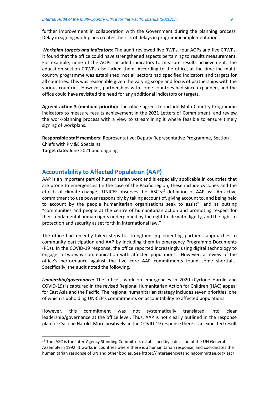further improvement in collaboration with the Government during the planning process.

*Workplan targets and indicators:* The audit reviewed five RWPs, four AOPs and five CRWPs. It found that the office could have strengthened aspects pertaining to results measurement. For example, none of the AOPs included indicators to measure results achievement. The education section CRWPs also lacked them. According to the office, at the time the multicountry programme was established, not all sectors had specified indicators and targets for all countries. This was reasonable given the varying scope and focus of partnerships with the various countries. However, partnerships with some countries had since expanded, and the office could have revisited the need for any additional indicators or targets.

Delay in signing work plans creates the risk of delays in programme implementation.

**Agreed action 3 (medium priority):** The office agrees to include Multi-Country Programme indicators to measure results achievement in the 2021 Letters of Commitment, and review the work-planning process with a view to streamlining it where feasible to ensure timely signing of workplans.

**Responsible staff members:** Representative; Deputy Representative Programme, Section Chiefs with PM&E Specialist **Target date:** June 2021 and ongoing

#### **Accountability to Affected Population (AAP)**

AAP is an important part of humanitarian work and is especially applicable in countries that are prone to emergencies (in the case of the Pacific region, these include cyclones and the effects of climate change). UNICEF observes the  $IASC's<sup>11</sup>$  $IASC's<sup>11</sup>$  $IASC's<sup>11</sup>$  definition of AAP as: "An active commitment to use power responsibly by taking account of, giving account to, and being held to account by the people humanitarian organizations seek to assist", and as putting "communities and people at the centre of humanitarian action and promoting respect for their fundamental human rights underpinned by the right to life with dignity, and the right to protection and security as set forth in international law."

The office had recently taken steps to strengthen implementing partners' approaches to community participation and AAP by including them in emergency Programme Documents (PDs). In the COVID-19 response, the office reported increasingly using digital technology to engage in two-way communication with affected populations. However, a review of the office's performance against the five core AAP commitments found some shortfalls. Specifically, the audit noted the following.

*Leadership/governance:* The office's work on emergencies in 2020 (Cyclone Harold and COVID-19) is captured in the revised Regional Humanitarian Action for Children (HAC) appeal for East Asia and the Pacific. The regional humanitarian strategy includes seven priorities, one of which is upholding UNICEF's commitments on accountability to affected populations.

However, this commitment was not systematically translated into clear leadership/governance at the office level. Thus, AAP is not clearly outlined in the response plan for Cyclone Harold. More positively, in the COVID-19 response there is an expected result

<span id="page-8-0"></span> $11$  The IASC is the Inter-Agency Standing Committee, established by a decision of the UN General Assembly in 1992. It works in countries where there is a humanitarian response, and coordinates the humanitarian response of UN and other bodies. See https://interagencystandingcommittee.org/iasc/.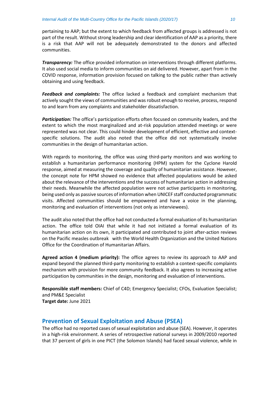pertaining to AAP; but the extent to which feedback from affected groups is addressed is not part of the result. Without strong leadership and clear identification of AAP as a priority, there is a risk that AAP will not be adequately demonstrated to the donors and affected communities.

*Transparency:* The office provided information on interventions through different platforms. It also used social media to inform communities on aid delivered. However, apart from in the COVID response, information provision focused on talking to the public rather than actively obtaining and using feedback.

*Feedback and complaints:* The office lacked a feedback and complaint mechanism that actively sought the views of communities and was robust enough to receive, process, respond to and learn from any complaints and stakeholder dissatisfaction.

*Participation:* The office's participation efforts often focused on community leaders, and the extent to which the most marginalized and at-risk population attended meetings or were represented was not clear. This could hinder development of efficient, effective and contextspecific solutions. The audit also noted that the office did not systematically involve communities in the design of humanitarian action.

With regards to monitoring, the office was using third-party monitors and was working to establish a humanitarian performance monitoring (HPM) system for the Cyclone Harold response, aimed at measuring the coverage and quality of humanitarian assistance. However, the concept note for HPM showed no evidence that affected populations would be asked about the relevance of the interventions and the success of humanitarian action in addressing their needs. Meanwhile the affected population were not active participants in monitoring, being used only as passive sources of information when UNICEF staff conducted programmatic visits. Affected communities should be empowered and have a voice in the planning, monitoring and evaluation of interventions (not only as interviewees).

The audit also noted that the office had not conducted a formal evaluation of its humanitarian action. The office told OIAI that while it had not initiated a formal evaluation of its humanitarian action on its own, it participated and contributed to joint after-action reviews on the Pacific measles outbreak with the World Health Organization and the United Nations Office for the Coordination of Humanitarian Affairs.

**Agreed action 4 (medium priority):** The office agrees to review its approach to AAP and expand beyond the planned third-party monitoring to establish a context-specific complaints mechanism with provision for more community feedback. It also agrees to increasing active participation by communities in the design, monitoring and evaluation of interventions.

**Responsible staff members:** Chief of C4D; Emergency Specialist; CFOs, Evaluation Specialist; and PM&E Specialist **Target date:** June 2021

#### **Prevention of Sexual Exploitation and Abuse (PSEA)**

The office had no reported cases of sexual exploitation and abuse (SEA). However, it operates in a high-risk environment. A series of retrospective national surveys in 2009/2010 reported that 37 percent of girls in one PICT (the Solomon Islands) had faced sexual violence, while in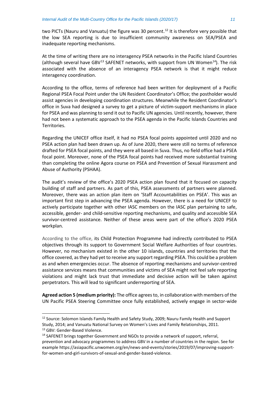two PICTs (Nauru and Vanuatu) the figure was 30 percent.<sup>[12](#page-10-0)</sup> It is therefore very possible that the low SEA reporting is due to insufficient community awareness on SEA/PSEA and inadequate reporting mechanisms.

At the time of writing there are no interagency PSEA networks in the Pacific Island Countries (although several have GBV $^{13}$  $^{13}$  $^{13}$  SAFENET networks, with support from UN Women $^{14}$ ). The risk associated with the absence of an interagency PSEA network is that it might reduce interagency coordination.

According to the office, terms of reference had been written for deployment of a Pacific Regional PSEA Focal Point under the UN Resident Coordinator's Office; the postholder would assist agencies in developing coordination structures. Meanwhile the Resident Coordinator's office in Suva had designed a survey to get a picture of victim-support mechanisms in place for PSEA and was planning to send it out to Pacific UN agencies. Until recently, however, there had not been a systematic approach to the PSEA agenda in the Pacific Islands Countries and Territories.

Regarding the UNICEF office itself, it had no PSEA focal points appointed until 2020 and no PSEA action plan had been drawn up. As of June 2020, there were still no terms of reference drafted for PSEA focal points, and they were all based in Suva. Thus, no field office had a PSEA focal point. Moreover, none of the PSEA focal points had received more substantial training than completing the online Agora course on PSEA and Prevention of Sexual Harassment and Abuse of Authority (PSHAA).

The audit's review of the office's 2020 PSEA action plan found that it focused on capacity building of staff and partners. As part of this, PSEA assessments of partners were planned. Moreover, there was an action plan item on 'Staff Accountabilities on PSEA'. This was an important first step in advancing the PSEA agenda. However, there is a need for UNICEF to actively participate together with other IASC members on the IASC plan pertaining to safe, accessible, gender- and child-sensitive reporting mechanisms, and quality and accessible SEA survivor-centred assistance. Neither of these areas were part of the office's 2020 PSEA workplan.

According to the office, its Child Protection Programme had indirectly contributed to PSEA objectives through its support to Government Social Welfare Authorities of four countries. However, no mechanism existed in the other 10 islands, countries and territories that the office covered, as they had yet to receive any support regarding PSEA. This could be a problem as and when emergencies occur. The absence of reporting mechanisms and survivor-centred assistance services means that communities and victims of SEA might not feel safe reporting violations and might lack trust that immediate and decisive action will be taken against perpetrators. This will lead to significant underreporting of SEA.

**Agreed action 5 (medium priority):** The office agrees to, in collaboration with members of the UN Pacific PSEA Steering Committee once fully established, actively engage in sector-wide

<span id="page-10-1"></span><sup>13</sup> GBV: Gender-Based Violence.

<span id="page-10-0"></span><sup>&</sup>lt;sup>12</sup> Source: Solomon Islands Family Health and Safety Study, 2009; Nauru Family Health and Support Study, 2014; and Vanuatu National Survey on Women's Lives and Family Relationships, 2011.

<span id="page-10-2"></span><sup>&</sup>lt;sup>14</sup> SAFENET brings together Government and NGOs to provide a network of support, referral, prevention and advocacy programmes to address GBV in a number of countries in the region. See for example https://asiapacific.unwomen.org/en/news-and-events/stories/2019/07/improving-supportfor-women-and-girl-survivors-of-sexual-and-gender-based-violence.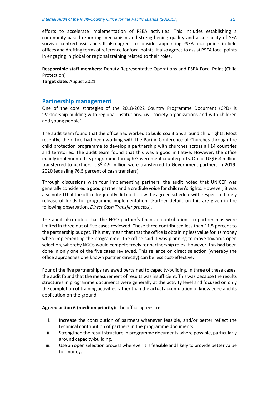efforts to accelerate implementation of PSEA activities. This includes establishing a community-based reporting mechanism and strengthening quality and accessibility of SEA survivor-centred assistance. It also agrees to consider appointing PSEA focal points in field offices and drafting terms of reference for focal points. It also agrees to assist PSEA focal points in engaging in global or regional training related to their roles.

**Responsible staff members:** Deputy Representative Operations and PSEA Focal Point (Child Protection)

**Target date:** August 2021

#### **Partnership management**

One of the core strategies of the 2018-2022 Country Programme Document (CPD) is 'Partnership building with regional institutions, civil society organizations and with children and young people'.

The audit team found that the office had worked to build coalitions around child rights. Most recently, the office had been working with the Pacific Conference of Churches through the child protection programme to develop a partnership with churches across all 14 countries and territories. The audit team found that this was a good initiative. However, the office mainly implemented its programme through Government counterparts. Out of US\$ 6.4 million transferred to partners, US\$ 4.9 million were transferred to Government partners in 2019- 2020 (equaling 76.5 percent of cash transfers).

Through discussions with four implementing partners, the audit noted that UNICEF was generally considered a good partner and a credible voice for children's rights. However, it was also noted that the office frequently did not follow the agreed schedule with respect to timely release of funds for programme implementation. (Further details on this are given in the following observation, *Direct Cash Transfer process*).

The audit also noted that the NGO partner's financial contributions to partnerships were limited in three out of five cases reviewed. These three contributed less than 11.5 percent to the partnership budget. This may mean that that the office is obtaining less value for its money when implementing the programme. The office said it was planning to move towards open selection, whereby NGOs would compete freely for partnership roles. However, this had been done in only one of the five cases reviewed. This reliance on direct selection (whereby the office approaches one known partner directly) can be less cost-effective.

Four of the five partnerships reviewed pertained to capacity-building. In three of these cases, the audit found that the measurement of results was insufficient. This was because the results structures in programme documents were generally at the activity level and focused on only the completion of training activities rather than the actual accumulation of knowledge and its application on the ground.

**Agreed action 6 (medium priority):** The office agrees to:

- i. Increase the contribution of partners whenever feasible, and/or better reflect the technical contribution of partners in the programme documents.
- ii. Strengthen the result structure in programme documents where possible, particularly around capacity-building.
- iii. Use an open selection process wherever it isfeasible and likely to provide better value for money.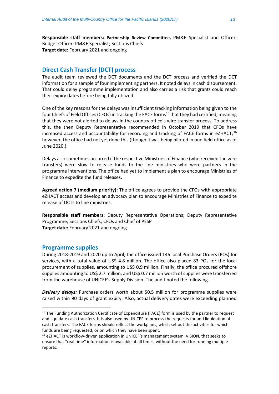**Responsible staff members: Partnership Review Committee,** PM&E Specialist and Officer; Budget Officer; PM&E Specialist; Sections Chiefs **Target date:** February 2021 and ongoing

#### **Direct Cash Transfer (DCT) process**

The audit team reviewed the DCT documents and the DCT process and verified the DCT information for a sample of four implementing partners. It noted delays in cash disbursement. That could delay programme implementation and also carries a risk that grants could reach their expiry dates before being fully utilized.

One of the key reasons for the delays was insufficient tracking information being given to the four Chiefs of Field Offices (CFOs) in tracking the FACE forms<sup>[15](#page-12-0)</sup> that they had certified, meaning that they were not alerted to delays in the country office's wire transfer process. To address this, the then Deputy Representative recommended in October 2019 that CFOs have increased access and accountability for recording and tracking of FACE forms in eZHACT;<sup>[16](#page-12-1)</sup> however, the office had not yet done this (though it was being piloted in one field office as of June 2020.)

Delays also sometimes occurred if the respective Ministries of Finance (who received the wire transfers) were slow to release funds to the line ministries who were partners in the programme interventions. The office had yet to implement a plan to encourage Ministries of Finance to expedite the fund releases.

**Agreed action 7 (medium priority):** The office agrees to provide the CFOs with appropriate eZHACT access and develop an advocacy plan to encourage Ministries of Finance to expedite release of DCTs to line ministries.

**Responsible staff members:** Deputy Representative Operations; Deputy Representative Programme; Sections Chiefs; CFOs and Chief of PESP **Target date:** February 2021 and ongoing

#### **Programme supplies**

During 2018-2019 and 2020 up to April, the office issued 146 local Purchase Orders (POs) for services, with a total value of US\$ 4.8 million. The office also placed 83 POs for the local procurement of supplies, amounting to US\$ 0.9 million. Finally, the office procured offshore supplies amounting to US\$ 2.7 million, and US\$ 0.7 million worth of supplies were transferred from the warehouse of UNICEF's Supply Division. The audit noted the following.

*Delivery delays:* Purchase orders worth about \$0.5 million for programme supplies were raised within 90 days of grant expiry. Also, actual delivery dates were exceeding planned

<span id="page-12-0"></span><sup>&</sup>lt;sup>15</sup> The Funding Authorization Certificate of Expenditure (FACE) form is used by the partner to request and liquidate cash transfers. It is also used by UNICEF to process the requests for and liquidation of cash transfers. The FACE forms should reflect the workplans, which set out the activities for which funds are being requested, or on which they have been spent.

<span id="page-12-1"></span><sup>&</sup>lt;sup>16</sup> eZHACT is workflow-driven application in UNICEF's management system, VISION, that seeks to ensure that "real time" information is available at all times, without the need for running multiple reports.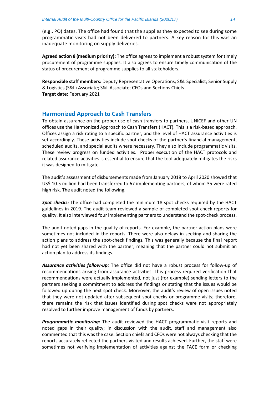(e.g., PO) dates. The office had found that the supplies they expected to see during some programmatic visits had not been delivered to partners. A key reason for this was an inadequate monitoring on supply deliveries.

**Agreed action 8 (medium priority):** The office agrees to implement a robust system for timely procurement of programme supplies. It also agrees to ensure timely communication of the status of procurement of programme supplies to all stakeholders.

**Responsible staff members:** Deputy Representative Operations; S&L Specialist; Senior Supply & Logistics (S&L) Associate; S&L Associate; CFOs and Sections Chiefs **Target date:** February 2021

#### **Harmonized Approach to Cash Transfers**

To obtain assurance on the proper use of cash transfers to partners, UNICEF and other UN offices use the Harmonized Approach to Cash Transfers (HACT). This is a risk-based approach. Offices assign a risk rating to a specific partner, and the level of HACT assurance activities is set accordingly. These activities include spot checks of the partner's financial management, scheduled audits, and special audits where necessary. They also include programmatic visits. These review progress on funded activities. Proper execution of the HACT protocols and related assurance activities is essential to ensure that the tool adequately mitigates the risks it was designed to mitigate.

The audit's assessment of disbursements made from January 2018 to April 2020 showed that US\$ 10.5 million had been transferred to 67 implementing partners, of whom 35 were rated high risk. The audit noted the following.

**Spot checks:** The office had completed the minimum 18 spot checks required by the HACT guidelines in 2019. The audit team reviewed a sample of completed spot-check reports for quality. It also interviewed four implementing partners to understand the spot-check process.

The audit noted gaps in the quality of reports. For example, the partner action plans were sometimes not included in the reports. There were also delays in seeking and sharing the action plans to address the spot-check findings. This was generally because the final report had not yet been shared with the partner, meaning that the partner could not submit an action plan to address its findings.

*Assurance activities follow-up:* The office did not have a robust process for follow-up of recommendations arising from assurance activities. This process required verification that recommendations were actually implemented, not just (for example) sending letters to the partners seeking a commitment to address the findings or stating that the issues would be followed up during the next spot check. Moreover, the audit's review of open issues noted that they were not updated after subsequent spot checks or programme visits; therefore, there remains the risk that issues identified during spot checks were not appropriately resolved to further improve management of funds by partners.

*Programmatic monitoring:* The audit reviewed the HACT programmatic visit reports and noted gaps in their quality; in discussion with the audit, staff and management also commented that this was the case. Section chiefs and CFOs were not always checking that the reports accurately reflected the partners visited and results achieved. Further, the staff were sometimes not verifying implementation of activities against the FACE form or checking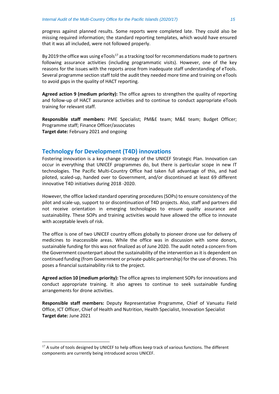progress against planned results. Some reports were completed late. They could also be missing required information; the standard reporting templates, which would have ensured that it was all included, were not followed properly.

By 2019 the office was using eTools<sup>17</sup> as a tracking tool for recommendations made to partners following assurance activities (including programmatic visits). However, one of the key reasons for the issues with the reports arose from inadequate staff understanding of eTools. Several programme section staff told the audit they needed more time and training on eTools to avoid gaps in the quality of HACT reporting.

**Agreed action 9 (medium priority):** The office agrees to strengthen the quality of reporting and follow-up of HACT assurance activities and to continue to conduct appropriate eTools training for relevant staff.

**Responsible staff members:** PME Specialist; PM&E team; M&E team; Budget Officer; Programme staff; Finance Officer/associates **Target date:** February 2021 and ongoing

#### **Technology for Development (T4D) innovations**

Fostering innovation is a key change strategy of the UNICEF Strategic Plan. Innovation can occur in everything that UNICEF programmes do, but there is particular scope in new IT technologies. The Pacific Multi-Country Office had taken full advantage of this, and had piloted, scaled-up, handed over to Government, and/or discontinued at least 69 different innovative T4D initiatives during 2018 -2020.

However, the office lacked standard operating procedures(SOPs) to ensure consistency of the pilot and scale-up, support to or discontinuation of T4D projects. Also, staff and partners did not receive orientation in emerging technologies to ensure quality assurance and sustainability. These SOPs and training activities would have allowed the office to innovate with acceptable levels of risk.

The office is one of two UNICEF country offices globally to pioneer drone use for delivery of medicines to inaccessible areas. While the office was in discussion with some donors, sustainable funding for this was not finalized as of June 2020. The audit noted a concern from the Government counterpart about the sustainability of the intervention as it is dependent on continued funding (from Government or private-public partnership) for the use of drones. This poses a financial sustainability risk to the project.

**Agreed action 10 (medium priority):** The office agrees to implement SOPsfor innovations and conduct appropriate training. It also agrees to continue to seek sustainable funding arrangements for drone activities.

**Responsible staff members:** Deputy Representative Programme, Chief of Vanuatu Field Office, ICT Officer, Chief of Health and Nutrition, Health Specialist, Innovation Specialist **Target date:** June 2021

<span id="page-14-0"></span><sup>&</sup>lt;sup>17</sup> A suite of tools designed by UNICEF to help offices keep track of various functions. The different components are currently being introduced across UNICEF.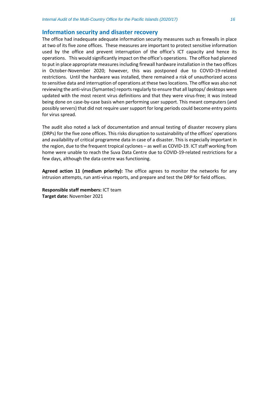#### **Information security and disaster recovery**

The office had inadequate adequate information security measures such as firewalls in place at two of its five zone offices. These measures are important to protect sensitive information used by the office and prevent interruption of the office's ICT capacity and hence its operations. This would significantly impact on the office's operations. The office had planned to put in place appropriate measures including firewall hardware installation in the two offices in October-November 2020; however, this was postponed due to COVID-19-related restrictions. Until the hardware was installed, there remained a risk of unauthorized access to sensitive data and interruption of operations at these two locations. The office was also not reviewing the anti-virus (Symantec) reports regularly to ensure that all laptops/ desktops were updated with the most recent virus definitions and that they were virus-free; it was instead being done on case-by-case basis when performing user support. This meant computers (and possibly servers) that did not require user support for long periods could become entry points for virus spread.

The audit also noted a lack of documentation and annual testing of disaster recovery plans (DRPs) for the five zone offices. This risks disruption to sustainability of the offices' operations and availability of critical programme data in case of a disaster. This is especially important in the region, due to the frequent tropical cyclones – as well as COVID-19. ICT staff working from home were unable to reach the Suva Data Centre due to COVID-19-related restrictions for a few days, although the data centre was functioning.

**Agreed action 11 (medium priority):** The office agrees to monitor the networks for any intrusion attempts, run anti-virus reports, and prepare and test the DRP for field offices.

**Responsible staff members:** ICT team **Target date:** November 2021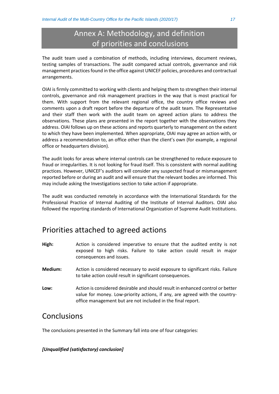### Annex A: Methodology, and definition of priorities and conclusions

The audit team used a combination of methods, including interviews, document reviews, testing samples of transactions. The audit compared actual controls, governance and risk management practices found in the office against UNICEF policies, procedures and contractual arrangements.

OIAI is firmly committed to working with clients and helping them to strengthen their internal controls, governance and risk management practices in the way that is most practical for them. With support from the relevant regional office, the country office reviews and comments upon a draft report before the departure of the audit team. The Representative and their staff then work with the audit team on agreed action plans to address the observations. These plans are presented in the report together with the observations they address. OIAI follows up on these actions and reports quarterly to management on the extent to which they have been implemented. When appropriate, OIAI may agree an action with, or address a recommendation to, an office other than the client's own (for example, a regional office or headquarters division).

The audit looks for areas where internal controls can be strengthened to reduce exposure to fraud or irregularities. It is not looking for fraud itself. This is consistent with normal auditing practices. However, UNICEF's auditors will consider any suspected fraud or mismanagement reported before or during an audit and will ensure that the relevant bodies are informed. This may include asking the Investigations section to take action if appropriate.

The audit was conducted remotely in accordance with the International Standards for the Professional Practice of Internal Auditing of the Institute of Internal Auditors. OIAI also followed the reporting standards of International Organization of Supreme Audit Institutions.

### Priorities attached to agreed actions

- **High:** Action is considered imperative to ensure that the audited entity is not exposed to high risks. Failure to take action could result in major consequences and issues.
- **Medium:** Action is considered necessary to avoid exposure to significant risks. Failure to take action could result in significant consequences.
- **Low:** Action is considered desirable and should result in enhanced control or better value for money. Low-priority actions, if any, are agreed with the countryoffice management but are not included in the final report.

### **Conclusions**

The conclusions presented in the Summary fall into one of four categories:

#### *[Unqualified (satisfactory) conclusion]*